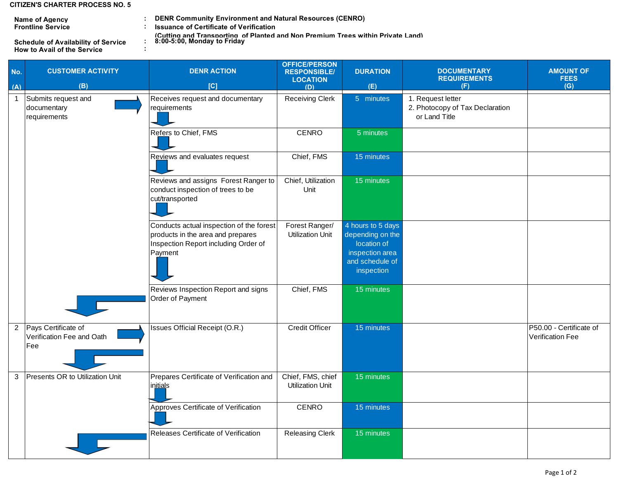## **CITIZEN'S CHARTER PROCESS NO. 5**

**Frontline Service Name of Agency**

**How to Avail of the Service Schedule of Availability of Service** 

**:**

**: : DENR Community Environment and Natural Resources (CENRO) Issuance of Certificate of Verification**

**: (Cutting and Transporting of Planted and Non Premium Trees within Private Land)** 

| No.                     | <b>CUSTOMER ACTIVITY</b>                                | <b>DENR ACTION</b>                                                                                                               | <b>OFFICE/PERSON</b><br><b>RESPONSIBLE/</b><br><b>LOCATION</b> | <b>DURATION</b>                                                                                          | <b>DOCUMENTARY</b><br><b>REQUIREMENTS</b>                             | <b>AMOUNT OF</b><br><b>FEES</b>             |
|-------------------------|---------------------------------------------------------|----------------------------------------------------------------------------------------------------------------------------------|----------------------------------------------------------------|----------------------------------------------------------------------------------------------------------|-----------------------------------------------------------------------|---------------------------------------------|
| (A)                     | (B)                                                     | [C]                                                                                                                              | (D)                                                            | (E)                                                                                                      | (F)                                                                   | (G)                                         |
| $\overline{\mathbf{1}}$ | Submits request and<br>documentary<br>requirements      | Receives request and documentary<br>requirements                                                                                 | <b>Receiving Clerk</b>                                         | 5 minutes                                                                                                | 1. Request letter<br>2. Photocopy of Tax Declaration<br>or Land Title |                                             |
|                         |                                                         | Refers to Chief, FMS                                                                                                             | <b>CENRO</b>                                                   | 5 minutes                                                                                                |                                                                       |                                             |
|                         |                                                         | Reviews and evaluates request                                                                                                    | Chief, FMS                                                     | 15 minutes                                                                                               |                                                                       |                                             |
|                         |                                                         | Reviews and assigns Forest Ranger to<br>conduct inspection of trees to be<br>cut/transported                                     | Chief, Utilization<br>Unit                                     | 15 minutes                                                                                               |                                                                       |                                             |
|                         |                                                         | Conducts actual inspection of the forest<br>products in the area and prepares<br>Inspection Report including Order of<br>Payment | Forest Ranger/<br><b>Utilization Unit</b>                      | 4 hours to 5 days<br>depending on the<br>location of<br>inspection area<br>and schedule of<br>inspection |                                                                       |                                             |
|                         |                                                         | Reviews Inspection Report and signs<br>Order of Payment                                                                          | Chief, FMS                                                     | 15 minutes                                                                                               |                                                                       |                                             |
| $\overline{2}$          | Pays Certificate of<br>Verification Fee and Oath<br>Fee | Issues Official Receipt (O.R.)                                                                                                   | <b>Credit Officer</b>                                          | 15 minutes                                                                                               |                                                                       | P50.00 - Certificate of<br>Verification Fee |
| 3                       | Presents OR to Utilization Unit                         | Prepares Certificate of Verification and<br>initials                                                                             | Chief, FMS, chief<br>Utilization Unit                          | 15 minutes                                                                                               |                                                                       |                                             |
|                         |                                                         | Approves Certificate of Verification                                                                                             | <b>CENRO</b>                                                   | 15 minutes                                                                                               |                                                                       |                                             |
|                         |                                                         | Releases Certificate of Verification                                                                                             | <b>Releasing Clerk</b>                                         | 15 minutes                                                                                               |                                                                       |                                             |